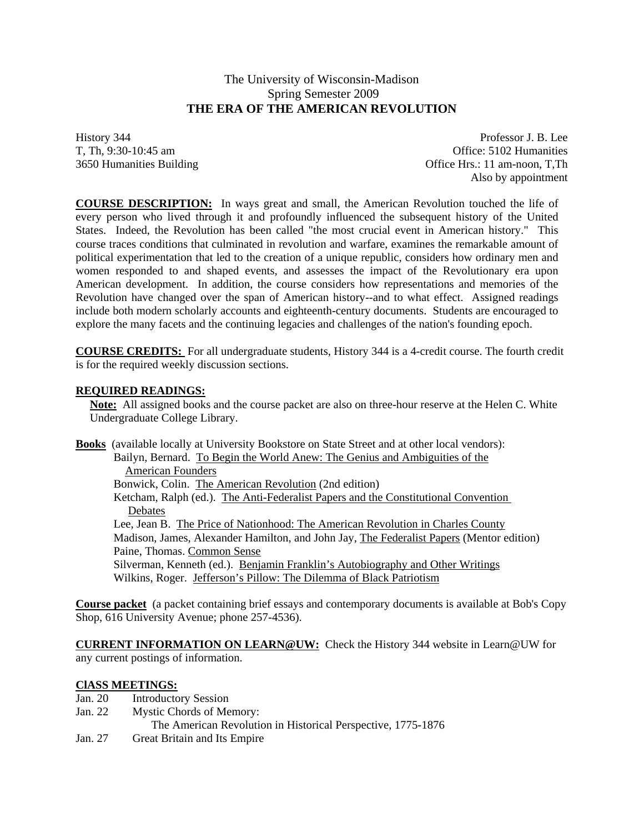# The University of Wisconsin-Madison Spring Semester 2009 **THE ERA OF THE AMERICAN REVOLUTION**

History 344 Professor J. B. Lee T, Th, 9:30-10:45 am Office: 5102 Humanities 3650 Humanities Building Office Hrs.: 11 am-noon, T,Th Also by appointment

**COURSE DESCRIPTION:** In ways great and small, the American Revolution touched the life of every person who lived through it and profoundly influenced the subsequent history of the United States. Indeed, the Revolution has been called "the most crucial event in American history." This course traces conditions that culminated in revolution and warfare, examines the remarkable amount of political experimentation that led to the creation of a unique republic, considers how ordinary men and women responded to and shaped events, and assesses the impact of the Revolutionary era upon American development. In addition, the course considers how representations and memories of the Revolution have changed over the span of American history--and to what effect. Assigned readings include both modern scholarly accounts and eighteenth-century documents. Students are encouraged to explore the many facets and the continuing legacies and challenges of the nation's founding epoch.

**COURSE CREDITS:** For all undergraduate students, History 344 is a 4-credit course. The fourth credit is for the required weekly discussion sections.

## **REQUIRED READINGS:**

**Note:** All assigned books and the course packet are also on three-hour reserve at the Helen C. White Undergraduate College Library.

**Books** (available locally at University Bookstore on State Street and at other local vendors): Bailyn, Bernard. To Begin the World Anew: The Genius and Ambiguities of the American Founders Bonwick, Colin. The American Revolution (2nd edition) Ketcham, Ralph (ed.). The Anti-Federalist Papers and the Constitutional Convention **Debates**  Lee, Jean B. The Price of Nationhood: The American Revolution in Charles County Madison, James, Alexander Hamilton, and John Jay, The Federalist Papers (Mentor edition) Paine, Thomas. Common Sense Silverman, Kenneth (ed.). Benjamin Franklin's Autobiography and Other Writings Wilkins, Roger. Jefferson's Pillow: The Dilemma of Black Patriotism

**Course packet** (a packet containing brief essays and contemporary documents is available at Bob's Copy Shop, 616 University Avenue; phone 257-4536).

**CURRENT INFORMATION ON LEARN@UW:** Check the History 344 website in Learn@UW for any current postings of information.

## **ClASS MEETINGS:**

- Jan. 20 Introductory Session
- Jan. 22 Mystic Chords of Memory:
	- The American Revolution in Historical Perspective, 1775-1876
- Jan. 27 Great Britain and Its Empire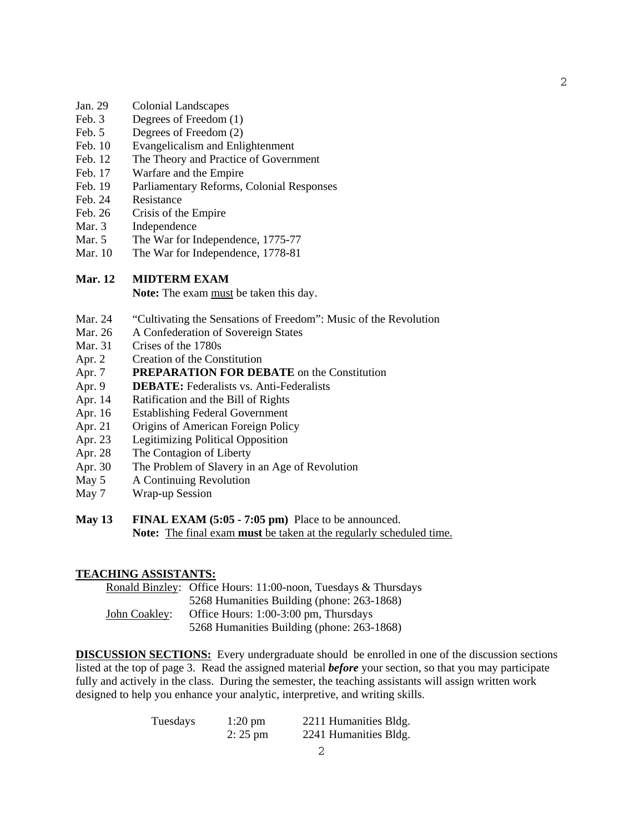- Jan. 29 Colonial Landscapes
- Feb. 3 Degrees of Freedom (1)
- Feb. 5 Degrees of Freedom (2)
- Feb. 10 Evangelicalism and Enlightenment
- Feb. 12 The Theory and Practice of Government
- Feb. 17 Warfare and the Empire
- Feb. 19 Parliamentary Reforms, Colonial Responses
- Feb. 24 Resistance
- Feb. 26 Crisis of the Empire
- Mar. 3 Independence
- Mar. 5 The War for Independence, 1775-77
- Mar. 10 The War for Independence, 1778-81

#### **Mar. 12 MIDTERM EXAM**

Note: The exam must be taken this day.

- Mar. 24 "Cultivating the Sensations of Freedom": Music of the Revolution
- Mar. 26 A Confederation of Sovereign States
- Mar. 31 Crises of the 1780s
- Apr. 2 Creation of the Constitution
- Apr. 7 **PREPARATION FOR DEBATE** on the Constitution
- Apr. 9 **DEBATE:** Federalists vs. Anti-Federalists
- Apr. 14 Ratification and the Bill of Rights
- Apr. 16 Establishing Federal Government
- Apr. 21 Origins of American Foreign Policy
- Apr. 23 Legitimizing Political Opposition
- Apr. 28 The Contagion of Liberty
- Apr. 30 The Problem of Slavery in an Age of Revolution
- May 5 A Continuing Revolution
- May 7 Wrap-up Session
- **May 13 FINAL EXAM (5:05 7:05 pm)** Place to be announced. **Note:** The final exam **must** be taken at the regularly scheduled time.

#### **TEACHING ASSISTANTS:**

|               | Ronald Binzley: Office Hours: 11:00-noon, Tuesdays & Thursdays |
|---------------|----------------------------------------------------------------|
|               | 5268 Humanities Building (phone: 263-1868)                     |
| John Coakley: | Office Hours: 1:00-3:00 pm, Thursdays                          |
|               | 5268 Humanities Building (phone: 263-1868)                     |

**DISCUSSION SECTIONS:** Every undergraduate should be enrolled in one of the discussion sections listed at the top of page 3. Read the assigned material *before* your section, so that you may participate fully and actively in the class. During the semester, the teaching assistants will assign written work designed to help you enhance your analytic, interpretive, and writing skills.

| Tuesdays | $1:20 \text{ pm}$ | 2211 Humanities Bldg. |
|----------|-------------------|-----------------------|
|          | $2:25 \text{ pm}$ | 2241 Humanities Bldg. |

2